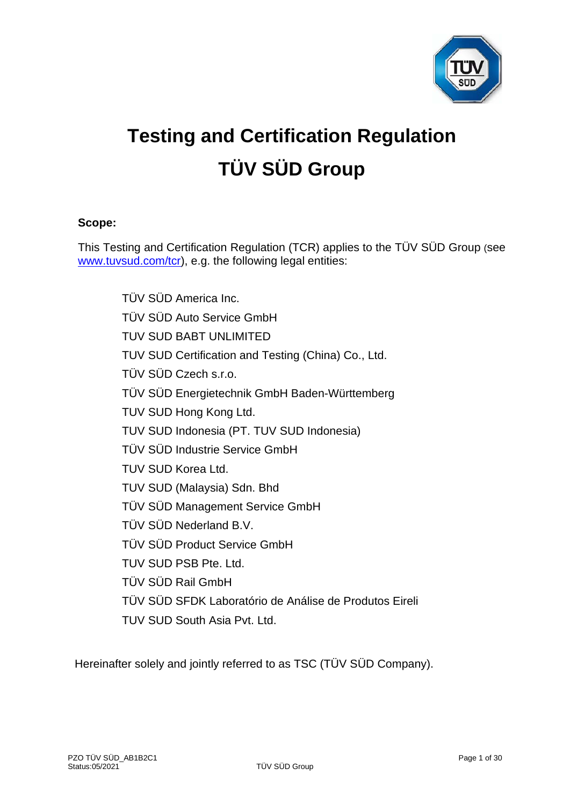

# **Testing and Certification Regulation TÜV SÜD Group**

# **Scope:**

This Testing and Certification Regulation (TCR) applies to the TÜV SÜD Group (see [www.tuvsud.com/tcr\)](http://www.tuvsud.com/tcr), e.g. the following legal entities:

> TÜV SÜD America Inc. TÜV SÜD Auto Service GmbH TUV SUD BABT UNLIMITED TUV SUD Certification and Testing (China) Co., Ltd. TÜV SÜD Czech s.r.o. TÜV SÜD Energietechnik GmbH Baden-Württemberg TUV SUD Hong Kong Ltd. TUV SUD Indonesia (PT. TUV SUD Indonesia) TÜV SÜD Industrie Service GmbH TUV SUD Korea Ltd. TUV SUD (Malaysia) Sdn. Bhd TÜV SÜD Management Service GmbH TÜV SÜD Nederland B.V. TÜV SÜD Product Service GmbH TUV SUD PSB Pte. Ltd. TÜV SÜD Rail GmbH TÜV SÜD SFDK Laboratório de Análise de Produtos Eireli TUV SUD South Asia Pvt. Ltd.

Hereinafter solely and jointly referred to as TSC (TÜV SÜD Company).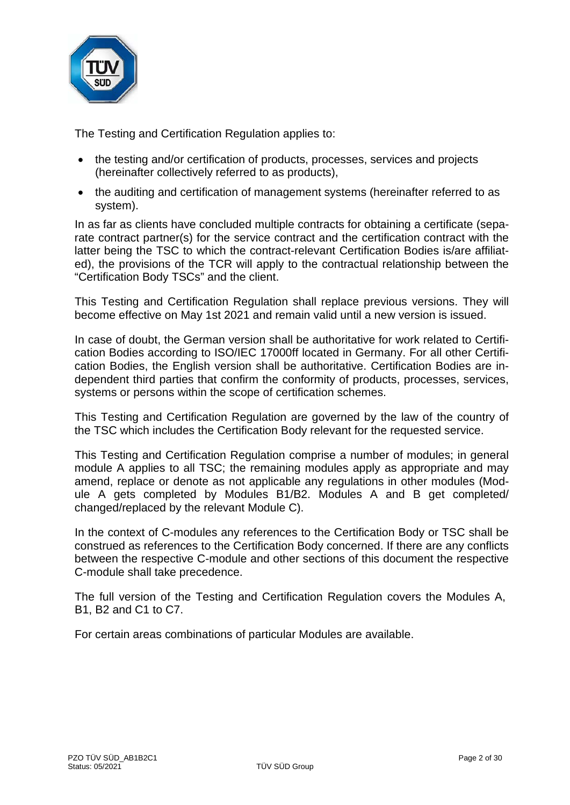

The Testing and Certification Regulation applies to:

- the testing and/or certification of products, processes, services and projects (hereinafter collectively referred to as products),
- the auditing and certification of management systems (hereinafter referred to as system).

In as far as clients have concluded multiple contracts for obtaining a certificate (separate contract partner(s) for the service contract and the certification contract with the latter being the TSC to which the contract-relevant Certification Bodies is/are affiliated), the provisions of the TCR will apply to the contractual relationship between the "Certification Body TSCs" and the client.

This Testing and Certification Regulation shall replace previous versions. They will become effective on May 1st 2021 and remain valid until a new version is issued.

In case of doubt, the German version shall be authoritative for work related to Certification Bodies according to ISO/IEC 17000ff located in Germany. For all other Certification Bodies, the English version shall be authoritative. Certification Bodies are independent third parties that confirm the conformity of products, processes, services, systems or persons within the scope of certification schemes.

This Testing and Certification Regulation are governed by the law of the country of the TSC which includes the Certification Body relevant for the requested service.

This Testing and Certification Regulation comprise a number of modules; in general module A applies to all TSC; the remaining modules apply as appropriate and may amend, replace or denote as not applicable any regulations in other modules (Module A gets completed by Modules B1/B2. Modules A and B get completed/ changed/replaced by the relevant Module C).

In the context of C-modules any references to the Certification Body or TSC shall be construed as references to the Certification Body concerned. If there are any conflicts between the respective C-module and other sections of this document the respective C-module shall take precedence.

The full version of the Testing and Certification Regulation covers the Modules A, B1, B2 and C1 to C7.

For certain areas combinations of particular Modules are available.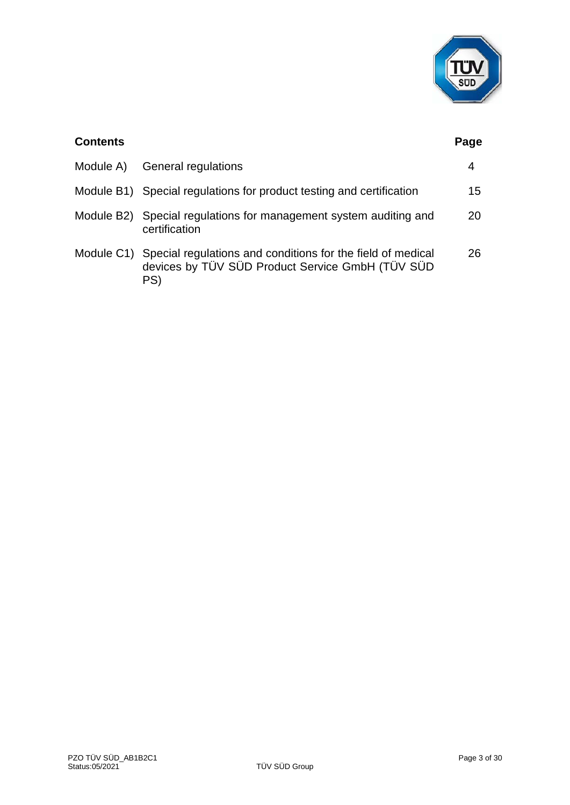

| <b>Contents</b> |                                                                                                                        | Page |
|-----------------|------------------------------------------------------------------------------------------------------------------------|------|
| Module A)       | General regulations                                                                                                    | 4    |
|                 | Module B1) Special regulations for product testing and certification                                                   | 15   |
|                 | Module B2) Special regulations for management system auditing and<br>certification                                     | 20   |
| Module C1)      | Special regulations and conditions for the field of medical<br>devices by TÜV SÜD Product Service GmbH (TÜV SÜD<br>PS) | 26   |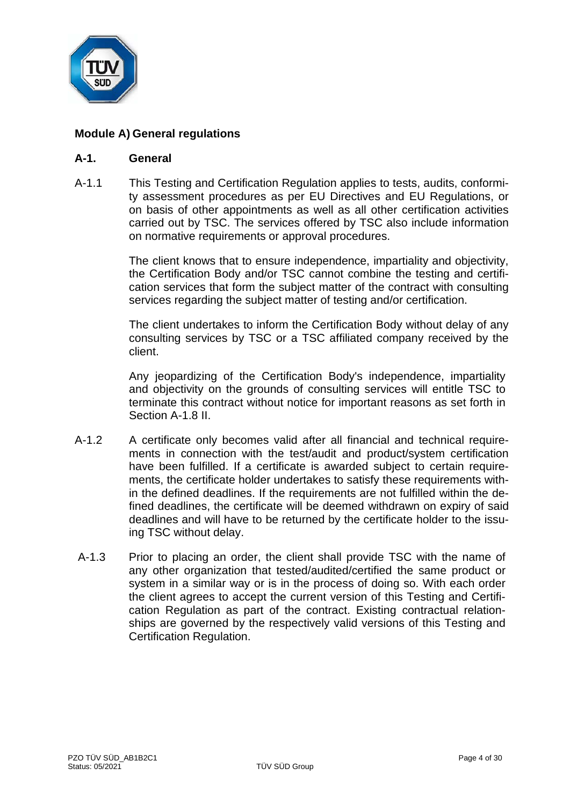

# **Module A) General regulations**

#### **A-1. General**

A-1.1 This Testing and Certification Regulation applies to tests, audits, conformity assessment procedures as per EU Directives and EU Regulations, or on basis of other appointments as well as all other certification activities carried out by TSC. The services offered by TSC also include information on normative requirements or approval procedures.

> The client knows that to ensure independence, impartiality and objectivity, the Certification Body and/or TSC cannot combine the testing and certification services that form the subject matter of the contract with consulting services regarding the subject matter of testing and/or certification.

> The client undertakes to inform the Certification Body without delay of any consulting services by TSC or a TSC affiliated company received by the client.

> Any jeopardizing of the Certification Body's independence, impartiality and objectivity on the grounds of consulting services will entitle TSC to terminate this contract without notice for important reasons as set forth in Section A-1.8 II.

- A-1.2 A certificate only becomes valid after all financial and technical requirements in connection with the test/audit and product/system certification have been fulfilled. If a certificate is awarded subject to certain requirements, the certificate holder undertakes to satisfy these requirements within the defined deadlines. If the requirements are not fulfilled within the defined deadlines, the certificate will be deemed withdrawn on expiry of said deadlines and will have to be returned by the certificate holder to the issuing TSC without delay.
- A-1.3 Prior to placing an order, the client shall provide TSC with the name of any other organization that tested/audited/certified the same product or system in a similar way or is in the process of doing so. With each order the client agrees to accept the current version of this Testing and Certification Regulation as part of the contract. Existing contractual relationships are governed by the respectively valid versions of this Testing and Certification Regulation.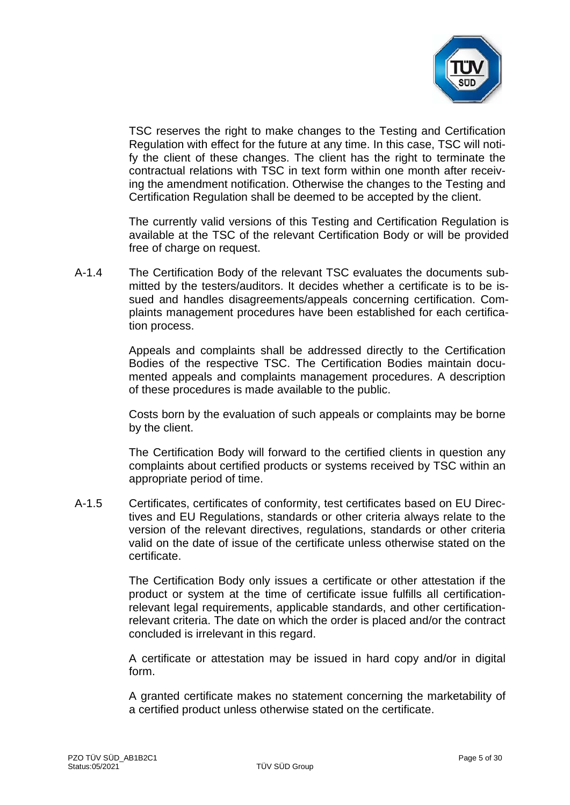

TSC reserves the right to make changes to the Testing and Certification Regulation with effect for the future at any time. In this case, TSC will notify the client of these changes. The client has the right to terminate the contractual relations with TSC in text form within one month after receiving the amendment notification. Otherwise the changes to the Testing and Certification Regulation shall be deemed to be accepted by the client.

The currently valid versions of this Testing and Certification Regulation is available at the TSC of the relevant Certification Body or will be provided free of charge on request.

A-1.4 The Certification Body of the relevant TSC evaluates the documents submitted by the testers/auditors. It decides whether a certificate is to be issued and handles disagreements/appeals concerning certification. Complaints management procedures have been established for each certification process.

> Appeals and complaints shall be addressed directly to the Certification Bodies of the respective TSC. The Certification Bodies maintain documented appeals and complaints management procedures. A description of these procedures is made available to the public.

> Costs born by the evaluation of such appeals or complaints may be borne by the client.

> The Certification Body will forward to the certified clients in question any complaints about certified products or systems received by TSC within an appropriate period of time.

A-1.5 Certificates, certificates of conformity, test certificates based on EU Directives and EU Regulations, standards or other criteria always relate to the version of the relevant directives, regulations, standards or other criteria valid on the date of issue of the certificate unless otherwise stated on the certificate.

> The Certification Body only issues a certificate or other attestation if the product or system at the time of certificate issue fulfills all certificationrelevant legal requirements, applicable standards, and other certificationrelevant criteria. The date on which the order is placed and/or the contract concluded is irrelevant in this regard.

> A certificate or attestation may be issued in hard copy and/or in digital form.

> A granted certificate makes no statement concerning the marketability of a certified product unless otherwise stated on the certificate.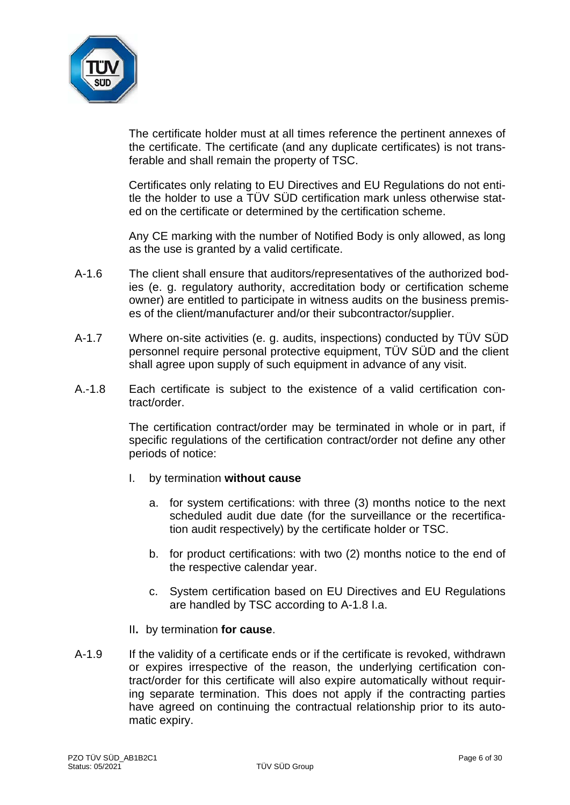

The certificate holder must at all times reference the pertinent annexes of the certificate. The certificate (and any duplicate certificates) is not transferable and shall remain the property of TSC.

Certificates only relating to EU Directives and EU Regulations do not entitle the holder to use a TÜV SÜD certification mark unless otherwise stated on the certificate or determined by the certification scheme.

Any CE marking with the number of Notified Body is only allowed, as long as the use is granted by a valid certificate.

- A-1.6 The client shall ensure that auditors/representatives of the authorized bodies (e. g. regulatory authority, accreditation body or certification scheme owner) are entitled to participate in witness audits on the business premises of the client/manufacturer and/or their subcontractor/supplier.
- A-1.7 Where on-site activities (e. g. audits, inspections) conducted by TÜV SÜD personnel require personal protective equipment, TÜV SÜD and the client shall agree upon supply of such equipment in advance of any visit.
- A.-1.8 Each certificate is subject to the existence of a valid certification contract/order.

The certification contract/order may be terminated in whole or in part, if specific regulations of the certification contract/order not define any other periods of notice:

- I. by termination **without cause**
	- a. for system certifications: with three (3) months notice to the next scheduled audit due date (for the surveillance or the recertification audit respectively) by the certificate holder or TSC.
	- b. for product certifications: with two (2) months notice to the end of the respective calendar year.
	- c. System certification based on EU Directives and EU Regulations are handled by TSC according to A-1.8 I.a.
- II**.** by termination **for cause**.
- A-1.9 If the validity of a certificate ends or if the certificate is revoked, withdrawn or expires irrespective of the reason, the underlying certification contract/order for this certificate will also expire automatically without requiring separate termination. This does not apply if the contracting parties have agreed on continuing the contractual relationship prior to its automatic expiry.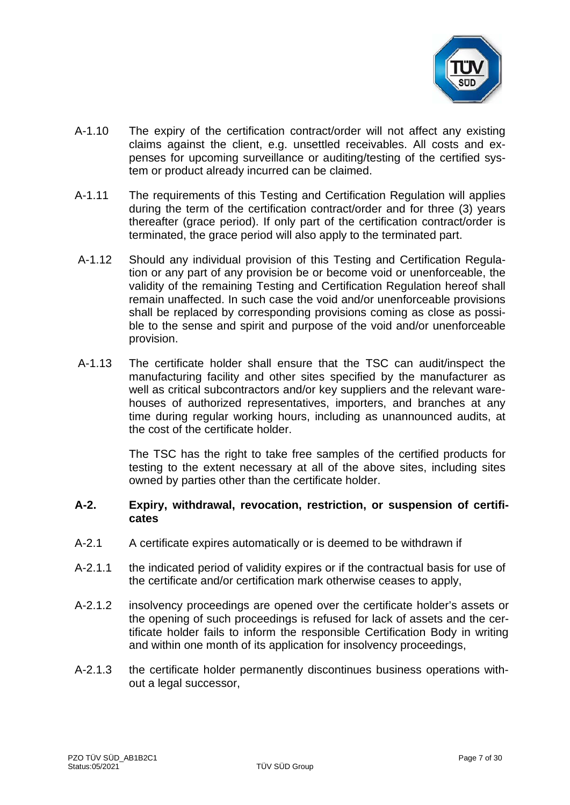

- A-1.10 The expiry of the certification contract/order will not affect any existing claims against the client, e.g. unsettled receivables. All costs and expenses for upcoming surveillance or auditing/testing of the certified system or product already incurred can be claimed.
- A-1.11 The requirements of this Testing and Certification Regulation will applies during the term of the certification contract/order and for three (3) years thereafter (grace period). If only part of the certification contract/order is terminated, the grace period will also apply to the terminated part.
- A-1.12 Should any individual provision of this Testing and Certification Regulation or any part of any provision be or become void or unenforceable, the validity of the remaining Testing and Certification Regulation hereof shall remain unaffected. In such case the void and/or unenforceable provisions shall be replaced by corresponding provisions coming as close as possible to the sense and spirit and purpose of the void and/or unenforceable provision.
- A-1.13 The certificate holder shall ensure that the TSC can audit/inspect the manufacturing facility and other sites specified by the manufacturer as well as critical subcontractors and/or key suppliers and the relevant warehouses of authorized representatives, importers, and branches at any time during regular working hours, including as unannounced audits, at the cost of the certificate holder.

The TSC has the right to take free samples of the certified products for testing to the extent necessary at all of the above sites, including sites owned by parties other than the certificate holder.

#### **A-2. Expiry, withdrawal, revocation, restriction, or suspension of certificates**

- A-2.1 A certificate expires automatically or is deemed to be withdrawn if
- A-2.1.1 the indicated period of validity expires or if the contractual basis for use of the certificate and/or certification mark otherwise ceases to apply,
- A-2.1.2 insolvency proceedings are opened over the certificate holder's assets or the opening of such proceedings is refused for lack of assets and the certificate holder fails to inform the responsible Certification Body in writing and within one month of its application for insolvency proceedings,
- A-2.1.3 the certificate holder permanently discontinues business operations without a legal successor,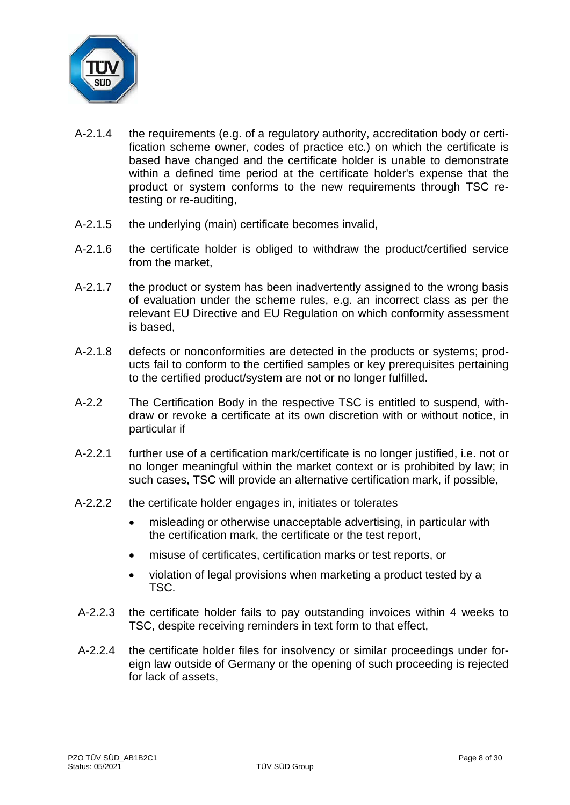

- A-2.1.4 the requirements (e.g. of a regulatory authority, accreditation body or certification scheme owner, codes of practice etc.) on which the certificate is based have changed and the certificate holder is unable to demonstrate within a defined time period at the certificate holder's expense that the product or system conforms to the new requirements through TSC retesting or re-auditing,
- A-2.1.5 the underlying (main) certificate becomes invalid,
- A-2.1.6 the certificate holder is obliged to withdraw the product/certified service from the market,
- A-2.1.7 the product or system has been inadvertently assigned to the wrong basis of evaluation under the scheme rules, e.g. an incorrect class as per the relevant EU Directive and EU Regulation on which conformity assessment is based,
- A-2.1.8 defects or nonconformities are detected in the products or systems; products fail to conform to the certified samples or key prerequisites pertaining to the certified product/system are not or no longer fulfilled.
- A-2.2 The Certification Body in the respective TSC is entitled to suspend, withdraw or revoke a certificate at its own discretion with or without notice, in particular if
- A-2.2.1 further use of a certification mark/certificate is no longer justified, i.e. not or no longer meaningful within the market context or is prohibited by law; in such cases, TSC will provide an alternative certification mark, if possible,
- A-2.2.2 the certificate holder engages in, initiates or tolerates
	- misleading or otherwise unacceptable advertising, in particular with the certification mark, the certificate or the test report,
	- misuse of certificates, certification marks or test reports, or
	- violation of legal provisions when marketing a product tested by a TSC.
- A-2.2.3 the certificate holder fails to pay outstanding invoices within 4 weeks to TSC, despite receiving reminders in text form to that effect,
- A-2.2.4 the certificate holder files for insolvency or similar proceedings under foreign law outside of Germany or the opening of such proceeding is rejected for lack of assets,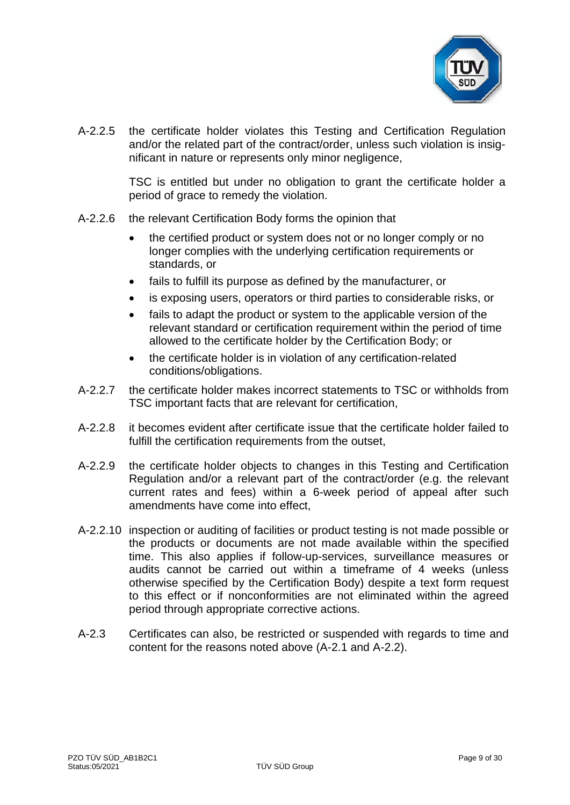

A-2.2.5 the certificate holder violates this Testing and Certification Regulation and/or the related part of the contract/order, unless such violation is insignificant in nature or represents only minor negligence,

> TSC is entitled but under no obligation to grant the certificate holder a period of grace to remedy the violation.

- A-2.2.6 the relevant Certification Body forms the opinion that
	- the certified product or system does not or no longer comply or no longer complies with the underlying certification requirements or standards, or
	- fails to fulfill its purpose as defined by the manufacturer, or
	- is exposing users, operators or third parties to considerable risks, or
	- fails to adapt the product or system to the applicable version of the relevant standard or certification requirement within the period of time allowed to the certificate holder by the Certification Body; or
	- the certificate holder is in violation of any certification-related conditions/obligations.
- A-2.2.7 the certificate holder makes incorrect statements to TSC or withholds from TSC important facts that are relevant for certification,
- A-2.2.8 it becomes evident after certificate issue that the certificate holder failed to fulfill the certification requirements from the outset,
- A-2.2.9 the certificate holder objects to changes in this Testing and Certification Regulation and/or a relevant part of the contract/order (e.g. the relevant current rates and fees) within a 6-week period of appeal after such amendments have come into effect,
- A-2.2.10 inspection or auditing of facilities or product testing is not made possible or the products or documents are not made available within the specified time. This also applies if follow-up-services, surveillance measures or audits cannot be carried out within a timeframe of 4 weeks (unless otherwise specified by the Certification Body) despite a text form request to this effect or if nonconformities are not eliminated within the agreed period through appropriate corrective actions.
- A-2.3 Certificates can also, be restricted or suspended with regards to time and content for the reasons noted above (A-2.1 and A-2.2).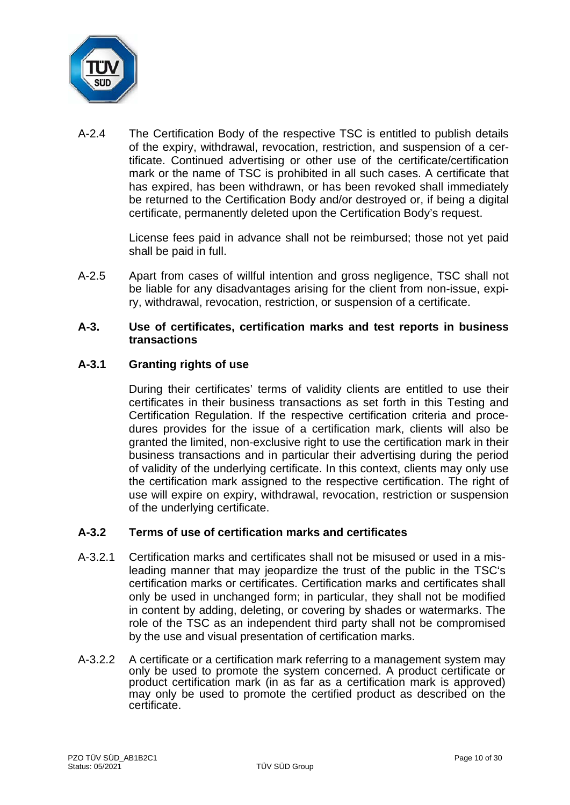

A-2.4 The Certification Body of the respective TSC is entitled to publish details of the expiry, withdrawal, revocation, restriction, and suspension of a certificate. Continued advertising or other use of the certificate/certification mark or the name of TSC is prohibited in all such cases. A certificate that has expired, has been withdrawn, or has been revoked shall immediately be returned to the Certification Body and/or destroyed or, if being a digital certificate, permanently deleted upon the Certification Body's request.

> License fees paid in advance shall not be reimbursed; those not yet paid shall be paid in full.

A-2.5 Apart from cases of willful intention and gross negligence, TSC shall not be liable for any disadvantages arising for the client from non-issue, expiry, withdrawal, revocation, restriction, or suspension of a certificate.

#### **A-3. Use of certificates, certification marks and test reports in business transactions**

# **A-3.1 Granting rights of use**

During their certificates' terms of validity clients are entitled to use their certificates in their business transactions as set forth in this Testing and Certification Regulation. If the respective certification criteria and procedures provides for the issue of a certification mark, clients will also be granted the limited, non-exclusive right to use the certification mark in their business transactions and in particular their advertising during the period of validity of the underlying certificate. In this context, clients may only use the certification mark assigned to the respective certification. The right of use will expire on expiry, withdrawal, revocation, restriction or suspension of the underlying certificate.

# **A-3.2 Terms of use of certification marks and certificates**

- A-3.2.1 Certification marks and certificates shall not be misused or used in a misleading manner that may jeopardize the trust of the public in the TSC's certification marks or certificates. Certification marks and certificates shall only be used in unchanged form; in particular, they shall not be modified in content by adding, deleting, or covering by shades or watermarks. The role of the TSC as an independent third party shall not be compromised by the use and visual presentation of certification marks.
- A-3.2.2 A certificate or a certification mark referring to a management system may only be used to promote the system concerned. A product certificate or product certification mark (in as far as a certification mark is approved) may only be used to promote the certified product as described on the certificate.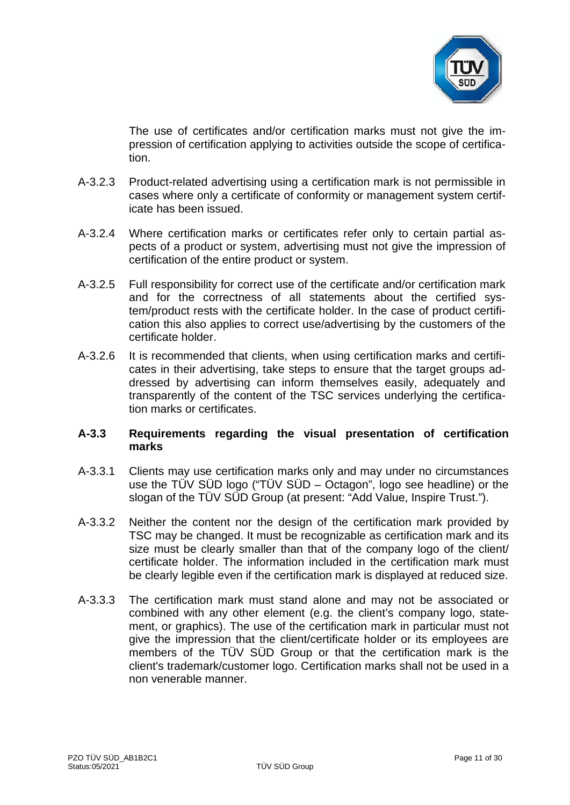

The use of certificates and/or certification marks must not give the impression of certification applying to activities outside the scope of certification.

- A-3.2.3 Product-related advertising using a certification mark is not permissible in cases where only a certificate of conformity or management system certificate has been issued.
- A-3.2.4 Where certification marks or certificates refer only to certain partial aspects of a product or system, advertising must not give the impression of certification of the entire product or system.
- A-3.2.5 Full responsibility for correct use of the certificate and/or certification mark and for the correctness of all statements about the certified system/product rests with the certificate holder. In the case of product certification this also applies to correct use/advertising by the customers of the certificate holder.
- A-3.2.6 It is recommended that clients, when using certification marks and certificates in their advertising, take steps to ensure that the target groups addressed by advertising can inform themselves easily, adequately and transparently of the content of the TSC services underlying the certification marks or certificates.

# **A-3.3 Requirements regarding the visual presentation of certification marks**

- A-3.3.1 Clients may use certification marks only and may under no circumstances use the TÜV SÜD logo ("TÜV SÜD – Octagon", logo see headline) or the slogan of the TÜV SÜD Group (at present: "Add Value, Inspire Trust.").
- A-3.3.2 Neither the content nor the design of the certification mark provided by TSC may be changed. It must be recognizable as certification mark and its size must be clearly smaller than that of the company logo of the client/ certificate holder. The information included in the certification mark must be clearly legible even if the certification mark is displayed at reduced size.
- A-3.3.3 The certification mark must stand alone and may not be associated or combined with any other element (e.g. the client's company logo, statement, or graphics). The use of the certification mark in particular must not give the impression that the client/certificate holder or its employees are members of the TÜV SÜD Group or that the certification mark is the client's trademark/customer logo. Certification marks shall not be used in a non venerable manner.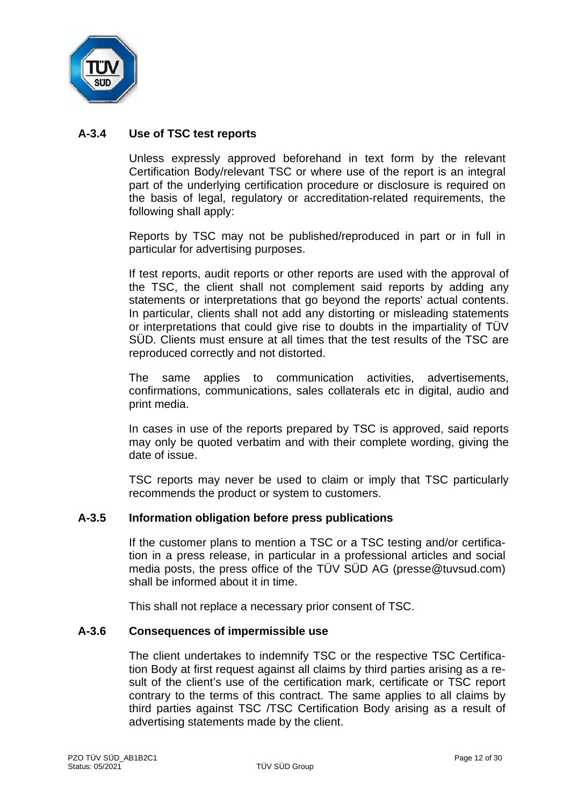

# **A-3.4 Use of TSC test reports**

Unless expressly approved beforehand in text form by the relevant Certification Body/relevant TSC or where use of the report is an integral part of the underlying certification procedure or disclosure is required on the basis of legal, regulatory or accreditation-related requirements, the following shall apply:

Reports by TSC may not be published/reproduced in part or in full in particular for advertising purposes.

If test reports, audit reports or other reports are used with the approval of the TSC, the client shall not complement said reports by adding any statements or interpretations that go beyond the reports' actual contents. In particular, clients shall not add any distorting or misleading statements or interpretations that could give rise to doubts in the impartiality of TÜV SÜD. Clients must ensure at all times that the test results of the TSC are reproduced correctly and not distorted.

The same applies to communication activities, advertisements, confirmations, communications, sales collaterals etc in digital, audio and print media.

In cases in use of the reports prepared by TSC is approved, said reports may only be quoted verbatim and with their complete wording, giving the date of issue.

TSC reports may never be used to claim or imply that TSC particularly recommends the product or system to customers.

#### **A-3.5 Information obligation before press publications**

If the customer plans to mention a TSC or a TSC testing and/or certification in a press release, in particular in a professional articles and social media posts, the press office of the TÜV SÜD AG (presse@tuvsud.com) shall be informed about it in time.

This shall not replace a necessary prior consent of TSC.

#### **A-3.6 Consequences of impermissible use**

The client undertakes to indemnify TSC or the respective TSC Certification Body at first request against all claims by third parties arising as a result of the client's use of the certification mark, certificate or TSC report contrary to the terms of this contract. The same applies to all claims by third parties against TSC /TSC Certification Body arising as a result of advertising statements made by the client.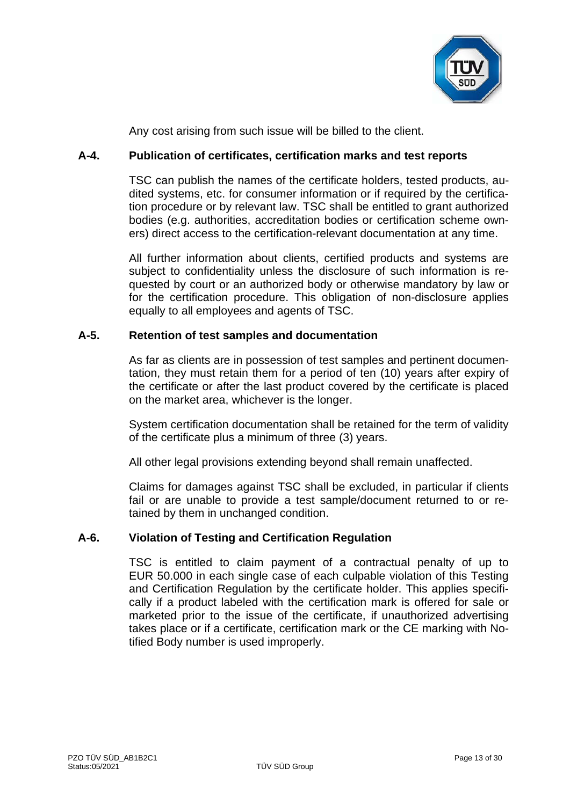

Any cost arising from such issue will be billed to the client.

# **A-4. Publication of certificates, certification marks and test reports**

TSC can publish the names of the certificate holders, tested products, audited systems, etc. for consumer information or if required by the certification procedure or by relevant law. TSC shall be entitled to grant authorized bodies (e.g. authorities, accreditation bodies or certification scheme owners) direct access to the certification-relevant documentation at any time.

All further information about clients, certified products and systems are subject to confidentiality unless the disclosure of such information is requested by court or an authorized body or otherwise mandatory by law or for the certification procedure. This obligation of non-disclosure applies equally to all employees and agents of TSC.

# **A-5. Retention of test samples and documentation**

As far as clients are in possession of test samples and pertinent documentation, they must retain them for a period of ten (10) years after expiry of the certificate or after the last product covered by the certificate is placed on the market area, whichever is the longer.

System certification documentation shall be retained for the term of validity of the certificate plus a minimum of three (3) years.

All other legal provisions extending beyond shall remain unaffected.

Claims for damages against TSC shall be excluded, in particular if clients fail or are unable to provide a test sample/document returned to or retained by them in unchanged condition.

# **A-6. Violation of Testing and Certification Regulation**

TSC is entitled to claim payment of a contractual penalty of up to EUR 50.000 in each single case of each culpable violation of this Testing and Certification Regulation by the certificate holder. This applies specifically if a product labeled with the certification mark is offered for sale or marketed prior to the issue of the certificate, if unauthorized advertising takes place or if a certificate, certification mark or the CE marking with Notified Body number is used improperly.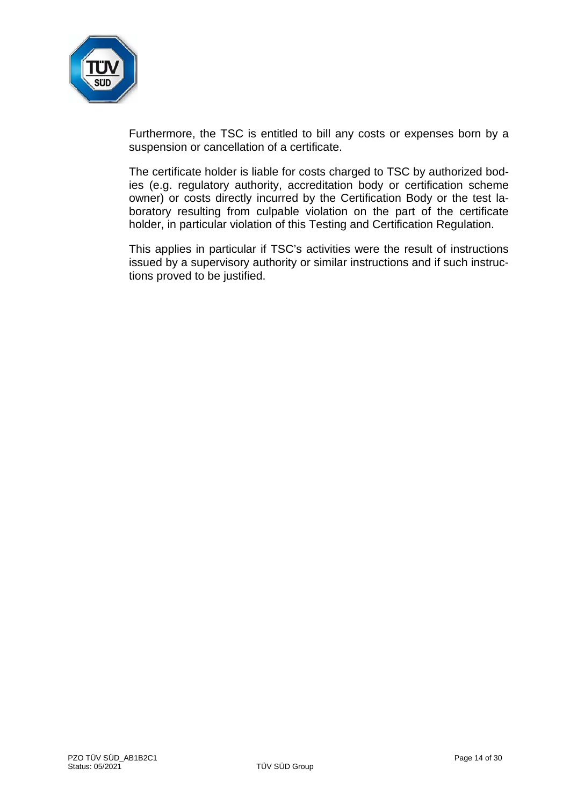

Furthermore, the TSC is entitled to bill any costs or expenses born by a suspension or cancellation of a certificate.

The certificate holder is liable for costs charged to TSC by authorized bodies (e.g. regulatory authority, accreditation body or certification scheme owner) or costs directly incurred by the Certification Body or the test laboratory resulting from culpable violation on the part of the certificate holder, in particular violation of this Testing and Certification Regulation.

This applies in particular if TSC's activities were the result of instructions issued by a supervisory authority or similar instructions and if such instructions proved to be justified.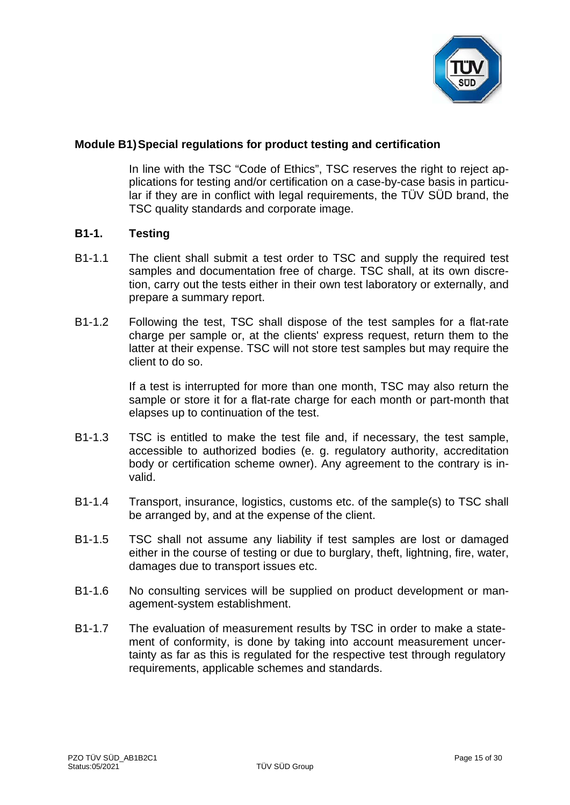

# **Module B1)Special regulations for product testing and certification**

In line with the TSC "Code of Ethics", TSC reserves the right to reject applications for testing and/or certification on a case-by-case basis in particular if they are in conflict with legal requirements, the TÜV SÜD brand, the TSC quality standards and corporate image.

#### **B1-1. Testing**

- B1-1.1 The client shall submit a test order to TSC and supply the required test samples and documentation free of charge. TSC shall, at its own discretion, carry out the tests either in their own test laboratory or externally, and prepare a summary report.
- B1-1.2 Following the test, TSC shall dispose of the test samples for a flat-rate charge per sample or, at the clients' express request, return them to the latter at their expense. TSC will not store test samples but may require the client to do so.

If a test is interrupted for more than one month, TSC may also return the sample or store it for a flat-rate charge for each month or part-month that elapses up to continuation of the test.

- B1-1.3 TSC is entitled to make the test file and, if necessary, the test sample, accessible to authorized bodies (e. g. regulatory authority, accreditation body or certification scheme owner). Any agreement to the contrary is invalid.
- B1-1.4 Transport, insurance, logistics, customs etc. of the sample(s) to TSC shall be arranged by, and at the expense of the client.
- B1-1.5 TSC shall not assume any liability if test samples are lost or damaged either in the course of testing or due to burglary, theft, lightning, fire, water, damages due to transport issues etc.
- B1-1.6 No consulting services will be supplied on product development or management-system establishment.
- B1-1.7 The evaluation of measurement results by TSC in order to make a statement of conformity, is done by taking into account measurement uncertainty as far as this is regulated for the respective test through regulatory requirements, applicable schemes and standards.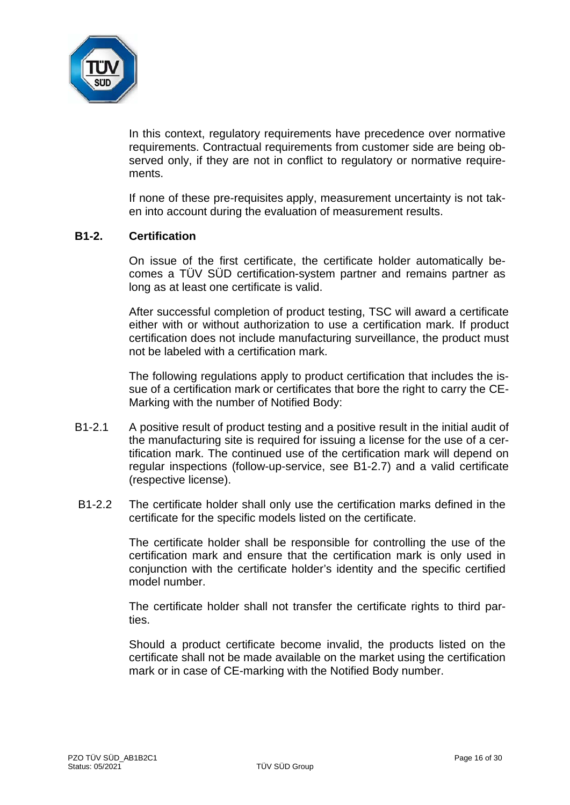

In this context, regulatory requirements have precedence over normative requirements. Contractual requirements from customer side are being observed only, if they are not in conflict to regulatory or normative requirements.

If none of these pre-requisites apply, measurement uncertainty is not taken into account during the evaluation of measurement results.

#### **B1-2. Certification**

On issue of the first certificate, the certificate holder automatically becomes a TÜV SÜD certification-system partner and remains partner as long as at least one certificate is valid.

After successful completion of product testing, TSC will award a certificate either with or without authorization to use a certification mark. If product certification does not include manufacturing surveillance, the product must not be labeled with a certification mark.

The following regulations apply to product certification that includes the issue of a certification mark or certificates that bore the right to carry the CE-Marking with the number of Notified Body:

- B1-2.1 A positive result of product testing and a positive result in the initial audit of the manufacturing site is required for issuing a license for the use of a certification mark. The continued use of the certification mark will depend on regular inspections (follow-up-service, see B1-2.7) and a valid certificate (respective license).
- B1-2.2 The certificate holder shall only use the certification marks defined in the certificate for the specific models listed on the certificate.

The certificate holder shall be responsible for controlling the use of the certification mark and ensure that the certification mark is only used in conjunction with the certificate holder's identity and the specific certified model number.

The certificate holder shall not transfer the certificate rights to third parties.

Should a product certificate become invalid, the products listed on the certificate shall not be made available on the market using the certification mark or in case of CE-marking with the Notified Body number.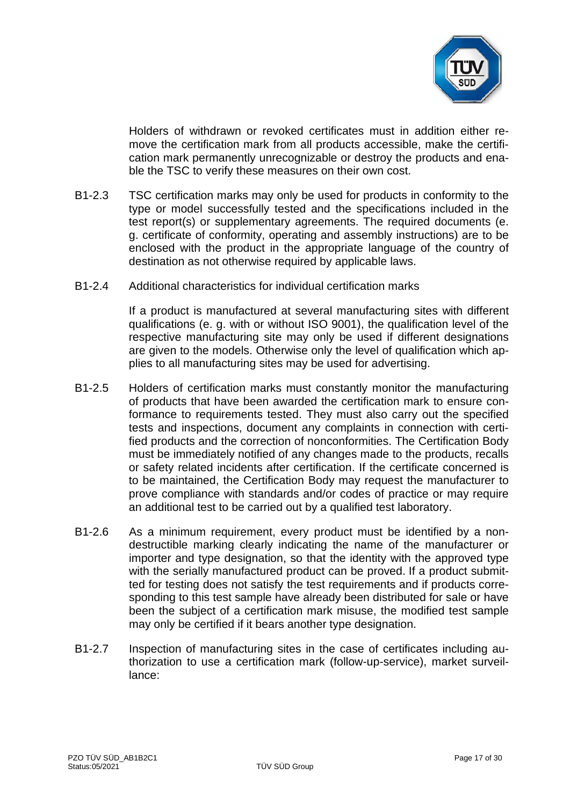

Holders of withdrawn or revoked certificates must in addition either remove the certification mark from all products accessible, make the certification mark permanently unrecognizable or destroy the products and enable the TSC to verify these measures on their own cost.

- B1-2.3 TSC certification marks may only be used for products in conformity to the type or model successfully tested and the specifications included in the test report(s) or supplementary agreements. The required documents (e. g. certificate of conformity, operating and assembly instructions) are to be enclosed with the product in the appropriate language of the country of destination as not otherwise required by applicable laws.
- B1-2.4 Additional characteristics for individual certification marks

If a product is manufactured at several manufacturing sites with different qualifications (e. g. with or without ISO 9001), the qualification level of the respective manufacturing site may only be used if different designations are given to the models. Otherwise only the level of qualification which applies to all manufacturing sites may be used for advertising.

- B1-2.5 Holders of certification marks must constantly monitor the manufacturing of products that have been awarded the certification mark to ensure conformance to requirements tested. They must also carry out the specified tests and inspections, document any complaints in connection with certified products and the correction of nonconformities. The Certification Body must be immediately notified of any changes made to the products, recalls or safety related incidents after certification. If the certificate concerned is to be maintained, the Certification Body may request the manufacturer to prove compliance with standards and/or codes of practice or may require an additional test to be carried out by a qualified test laboratory.
- B1-2.6 As a minimum requirement, every product must be identified by a nondestructible marking clearly indicating the name of the manufacturer or importer and type designation, so that the identity with the approved type with the serially manufactured product can be proved. If a product submitted for testing does not satisfy the test requirements and if products corresponding to this test sample have already been distributed for sale or have been the subject of a certification mark misuse, the modified test sample may only be certified if it bears another type designation.
- B1-2.7 Inspection of manufacturing sites in the case of certificates including authorization to use a certification mark (follow-up-service), market surveillance: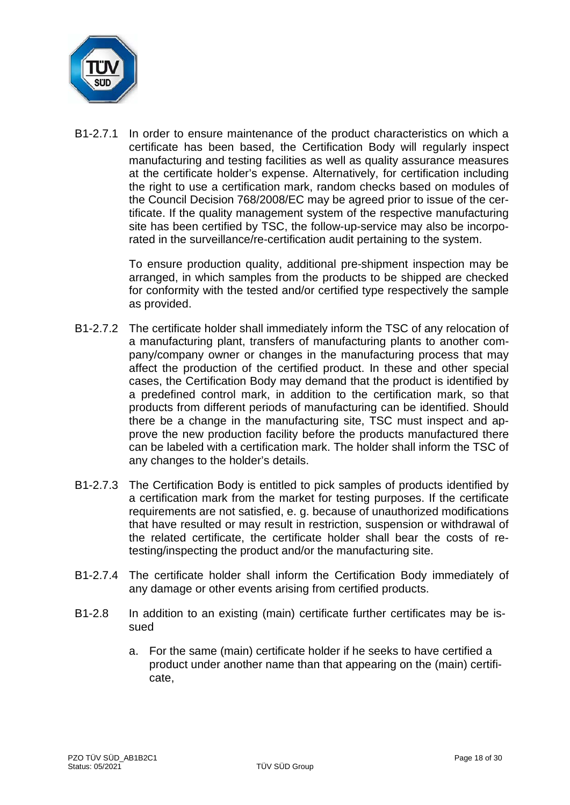

B1-2.7.1 In order to ensure maintenance of the product characteristics on which a certificate has been based, the Certification Body will regularly inspect manufacturing and testing facilities as well as quality assurance measures at the certificate holder's expense. Alternatively, for certification including the right to use a certification mark, random checks based on modules of the Council Decision 768/2008/EC may be agreed prior to issue of the certificate. If the quality management system of the respective manufacturing site has been certified by TSC, the follow-up-service may also be incorporated in the surveillance/re-certification audit pertaining to the system.

> To ensure production quality, additional pre-shipment inspection may be arranged, in which samples from the products to be shipped are checked for conformity with the tested and/or certified type respectively the sample as provided.

- B1-2.7.2 The certificate holder shall immediately inform the TSC of any relocation of a manufacturing plant, transfers of manufacturing plants to another company/company owner or changes in the manufacturing process that may affect the production of the certified product. In these and other special cases, the Certification Body may demand that the product is identified by a predefined control mark, in addition to the certification mark, so that products from different periods of manufacturing can be identified. Should there be a change in the manufacturing site, TSC must inspect and approve the new production facility before the products manufactured there can be labeled with a certification mark. The holder shall inform the TSC of any changes to the holder's details.
- B1-2.7.3 The Certification Body is entitled to pick samples of products identified by a certification mark from the market for testing purposes. If the certificate requirements are not satisfied, e. g. because of unauthorized modifications that have resulted or may result in restriction, suspension or withdrawal of the related certificate, the certificate holder shall bear the costs of retesting/inspecting the product and/or the manufacturing site.
- B1-2.7.4 The certificate holder shall inform the Certification Body immediately of any damage or other events arising from certified products.
- B1-2.8 In addition to an existing (main) certificate further certificates may be issued
	- a. For the same (main) certificate holder if he seeks to have certified a product under another name than that appearing on the (main) certificate,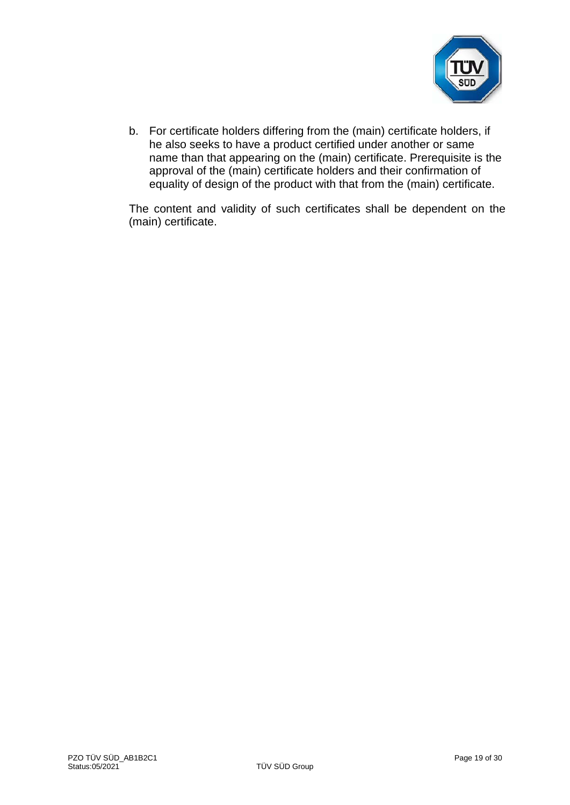

b. For certificate holders differing from the (main) certificate holders, if he also seeks to have a product certified under another or same name than that appearing on the (main) certificate. Prerequisite is the approval of the (main) certificate holders and their confirmation of equality of design of the product with that from the (main) certificate.

The content and validity of such certificates shall be dependent on the (main) certificate.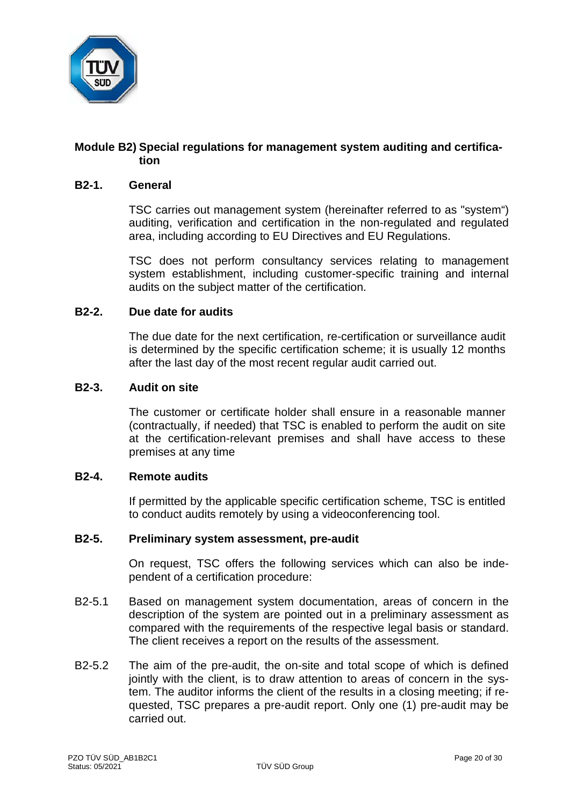

# **Module B2) Special regulations for management system auditing and certification**

#### **B2-1. General**

TSC carries out management system (hereinafter referred to as "system") auditing, verification and certification in the non-regulated and regulated area, including according to EU Directives and EU Regulations.

TSC does not perform consultancy services relating to management system establishment, including customer-specific training and internal audits on the subject matter of the certification.

#### **B2-2. Due date for audits**

The due date for the next certification, re-certification or surveillance audit is determined by the specific certification scheme; it is usually 12 months after the last day of the most recent regular audit carried out.

#### **B2-3. Audit on site**

The customer or certificate holder shall ensure in a reasonable manner (contractually, if needed) that TSC is enabled to perform the audit on site at the certification-relevant premises and shall have access to these premises at any time

#### **B2-4. Remote audits**

If permitted by the applicable specific certification scheme, TSC is entitled to conduct audits remotely by using a videoconferencing tool.

# **B2-5. Preliminary system assessment, pre-audit**

On request, TSC offers the following services which can also be independent of a certification procedure:

- B2-5.1 Based on management system documentation, areas of concern in the description of the system are pointed out in a preliminary assessment as compared with the requirements of the respective legal basis or standard. The client receives a report on the results of the assessment.
- B2-5.2 The aim of the pre-audit, the on-site and total scope of which is defined jointly with the client, is to draw attention to areas of concern in the system. The auditor informs the client of the results in a closing meeting; if requested, TSC prepares a pre-audit report. Only one (1) pre-audit may be carried out.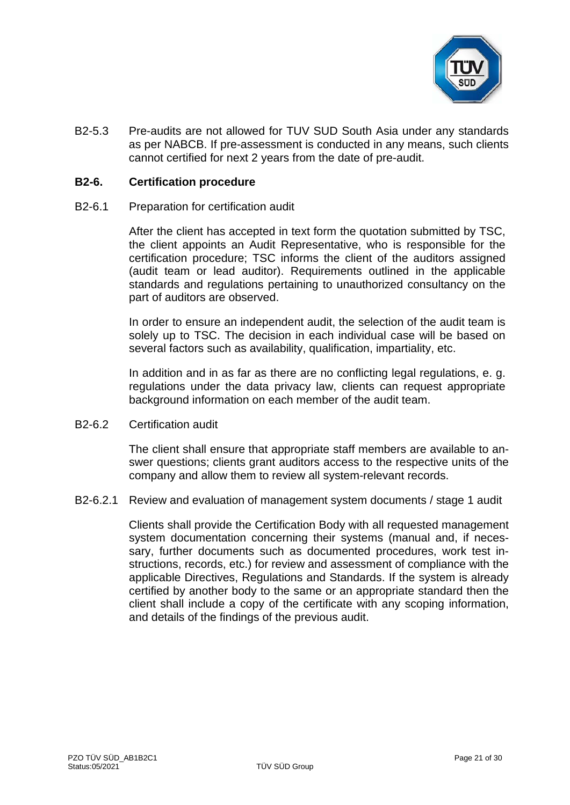

B2-5.3 Pre-audits are not allowed for TUV SUD South Asia under any standards as per NABCB. If pre-assessment is conducted in any means, such clients cannot certified for next 2 years from the date of pre-audit.

#### **B2-6. Certification procedure**

B2-6.1 Preparation for certification audit

After the client has accepted in text form the quotation submitted by TSC, the client appoints an Audit Representative, who is responsible for the certification procedure; TSC informs the client of the auditors assigned (audit team or lead auditor). Requirements outlined in the applicable standards and regulations pertaining to unauthorized consultancy on the part of auditors are observed.

In order to ensure an independent audit, the selection of the audit team is solely up to TSC. The decision in each individual case will be based on several factors such as availability, qualification, impartiality, etc.

In addition and in as far as there are no conflicting legal regulations, e. g. regulations under the data privacy law, clients can request appropriate background information on each member of the audit team.

B2-6.2 Certification audit

The client shall ensure that appropriate staff members are available to answer questions; clients grant auditors access to the respective units of the company and allow them to review all system-relevant records.

B2-6.2.1 Review and evaluation of management system documents / stage 1 audit

Clients shall provide the Certification Body with all requested management system documentation concerning their systems (manual and, if necessary, further documents such as documented procedures, work test instructions, records, etc.) for review and assessment of compliance with the applicable Directives, Regulations and Standards. If the system is already certified by another body to the same or an appropriate standard then the client shall include a copy of the certificate with any scoping information, and details of the findings of the previous audit.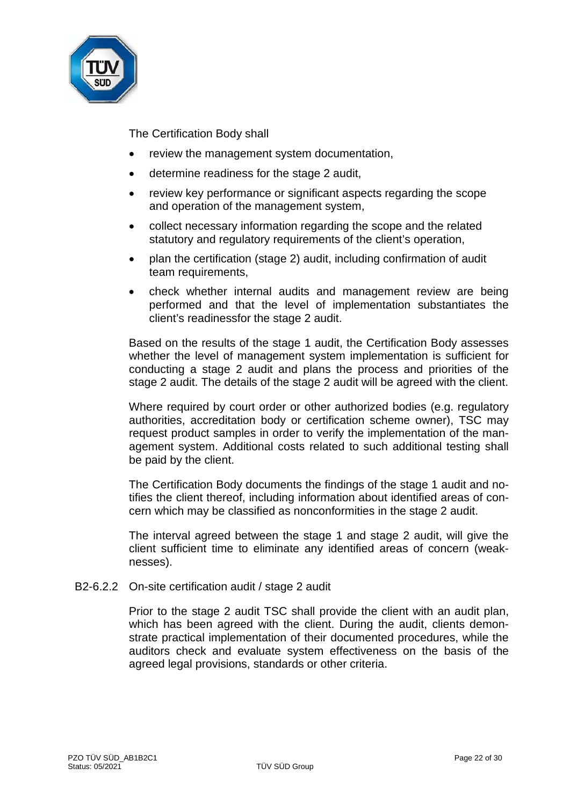

The Certification Body shall

- review the management system documentation,
- determine readiness for the stage 2 audit,
- review key performance or significant aspects regarding the scope and operation of the management system,
- collect necessary information regarding the scope and the related statutory and regulatory requirements of the client's operation,
- plan the certification (stage 2) audit, including confirmation of audit team requirements,
- check whether internal audits and management review are being performed and that the level of implementation substantiates the client's readinessfor the stage 2 audit.

Based on the results of the stage 1 audit, the Certification Body assesses whether the level of management system implementation is sufficient for conducting a stage 2 audit and plans the process and priorities of the stage 2 audit. The details of the stage 2 audit will be agreed with the client.

Where required by court order or other authorized bodies (e.g. regulatory authorities, accreditation body or certification scheme owner), TSC may request product samples in order to verify the implementation of the management system. Additional costs related to such additional testing shall be paid by the client.

The Certification Body documents the findings of the stage 1 audit and notifies the client thereof, including information about identified areas of concern which may be classified as nonconformities in the stage 2 audit.

The interval agreed between the stage 1 and stage 2 audit, will give the client sufficient time to eliminate any identified areas of concern (weaknesses).

B2-6.2.2 On-site certification audit / stage 2 audit

Prior to the stage 2 audit TSC shall provide the client with an audit plan, which has been agreed with the client. During the audit, clients demonstrate practical implementation of their documented procedures, while the auditors check and evaluate system effectiveness on the basis of the agreed legal provisions, standards or other criteria.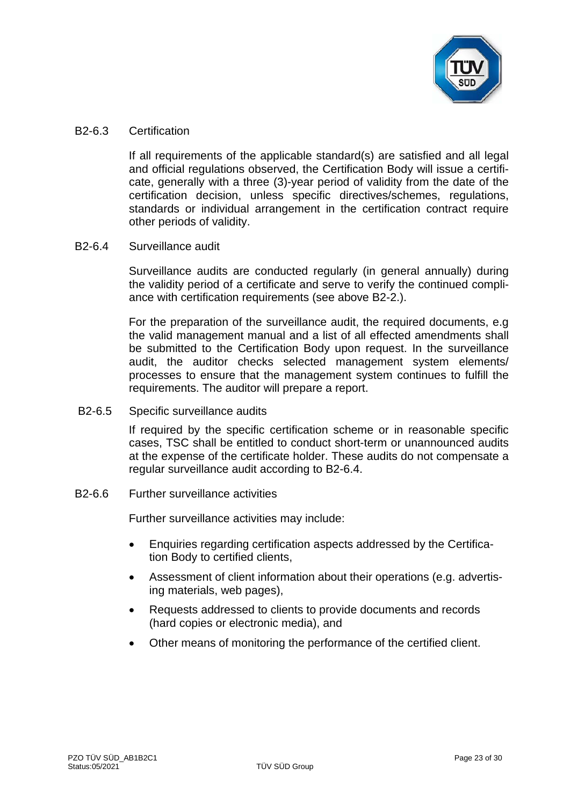

#### B2-6.3 Certification

If all requirements of the applicable standard(s) are satisfied and all legal and official regulations observed, the Certification Body will issue a certificate, generally with a three (3)-year period of validity from the date of the certification decision, unless specific directives/schemes, regulations, standards or individual arrangement in the certification contract require other periods of validity.

# B2-6.4 Surveillance audit

Surveillance audits are conducted regularly (in general annually) during the validity period of a certificate and serve to verify the continued compliance with certification requirements (see above B2-2.).

For the preparation of the surveillance audit, the required documents, e.g the valid management manual and a list of all effected amendments shall be submitted to the Certification Body upon request. In the surveillance audit, the auditor checks selected management system elements/ processes to ensure that the management system continues to fulfill the requirements. The auditor will prepare a report.

B2-6.5 Specific surveillance audits

If required by the specific certification scheme or in reasonable specific cases, TSC shall be entitled to conduct short-term or unannounced audits at the expense of the certificate holder. These audits do not compensate a regular surveillance audit according to B2-6.4.

B2-6.6 Further surveillance activities

Further surveillance activities may include:

- Enquiries regarding certification aspects addressed by the Certification Body to certified clients,
- Assessment of client information about their operations (e.g. advertising materials, web pages),
- Requests addressed to clients to provide documents and records (hard copies or electronic media), and
- Other means of monitoring the performance of the certified client.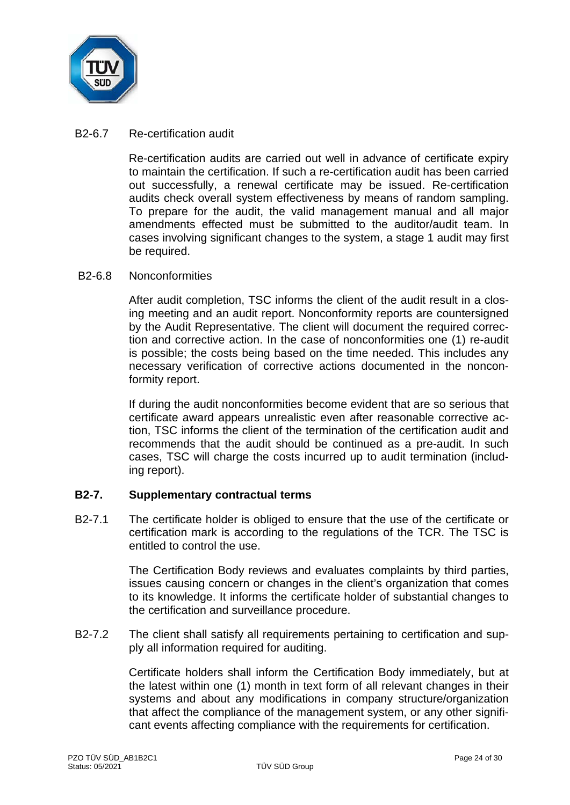

### B2-6.7 Re-certification audit

Re-certification audits are carried out well in advance of certificate expiry to maintain the certification. If such a re-certification audit has been carried out successfully, a renewal certificate may be issued. Re-certification audits check overall system effectiveness by means of random sampling. To prepare for the audit, the valid management manual and all major amendments effected must be submitted to the auditor/audit team. In cases involving significant changes to the system, a stage 1 audit may first be required.

#### B2-6.8 Nonconformities

After audit completion, TSC informs the client of the audit result in a closing meeting and an audit report. Nonconformity reports are countersigned by the Audit Representative. The client will document the required correction and corrective action. In the case of nonconformities one (1) re-audit is possible; the costs being based on the time needed. This includes any necessary verification of corrective actions documented in the nonconformity report.

If during the audit nonconformities become evident that are so serious that certificate award appears unrealistic even after reasonable corrective action, TSC informs the client of the termination of the certification audit and recommends that the audit should be continued as a pre-audit. In such cases, TSC will charge the costs incurred up to audit termination (including report).

# **B2-7. Supplementary contractual terms**

B2-7.1 The certificate holder is obliged to ensure that the use of the certificate or certification mark is according to the regulations of the TCR. The TSC is entitled to control the use.

> The Certification Body reviews and evaluates complaints by third parties, issues causing concern or changes in the client's organization that comes to its knowledge. It informs the certificate holder of substantial changes to the certification and surveillance procedure.

B2-7.2 The client shall satisfy all requirements pertaining to certification and supply all information required for auditing.

> Certificate holders shall inform the Certification Body immediately, but at the latest within one (1) month in text form of all relevant changes in their systems and about any modifications in company structure/organization that affect the compliance of the management system, or any other significant events affecting compliance with the requirements for certification.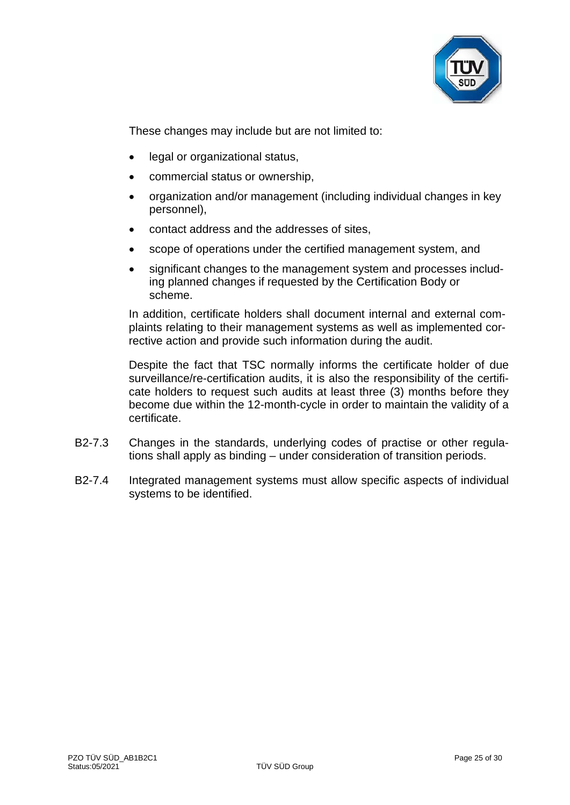

These changes may include but are not limited to:

- legal or organizational status,
- commercial status or ownership,
- organization and/or management (including individual changes in key personnel),
- contact address and the addresses of sites,
- scope of operations under the certified management system, and
- significant changes to the management system and processes including planned changes if requested by the Certification Body or scheme.

In addition, certificate holders shall document internal and external complaints relating to their management systems as well as implemented corrective action and provide such information during the audit.

Despite the fact that TSC normally informs the certificate holder of due surveillance/re-certification audits, it is also the responsibility of the certificate holders to request such audits at least three (3) months before they become due within the 12-month-cycle in order to maintain the validity of a certificate.

- B2-7.3 Changes in the standards, underlying codes of practise or other regulations shall apply as binding – under consideration of transition periods.
- B2-7.4 Integrated management systems must allow specific aspects of individual systems to be identified.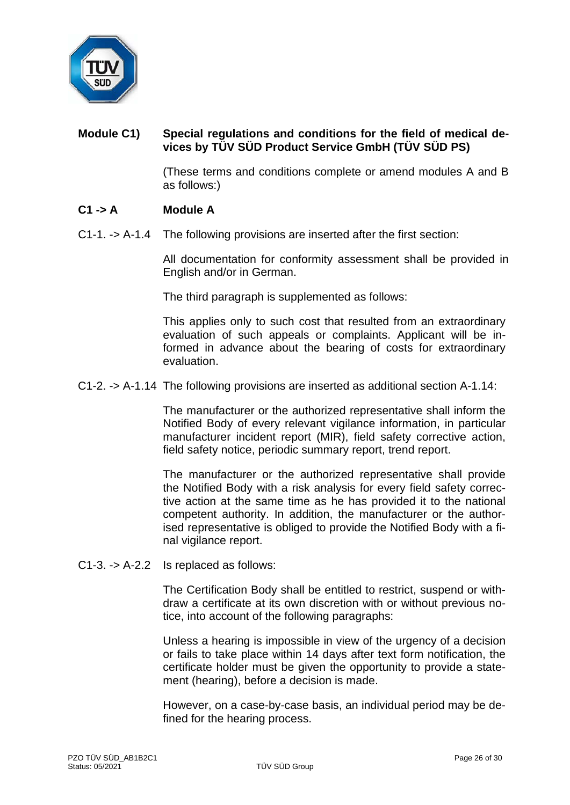

# **Module C1) Special regulations and conditions for the field of medical devices by TÜV SÜD Product Service GmbH (TÜV SÜD PS)**

(These terms and conditions complete or amend modules A and B as follows:)

# **C1 -> A Module A**

C1-1. -> A-1.4 The following provisions are inserted after the first section:

All documentation for conformity assessment shall be provided in English and/or in German.

The third paragraph is supplemented as follows:

This applies only to such cost that resulted from an extraordinary evaluation of such appeals or complaints. Applicant will be informed in advance about the bearing of costs for extraordinary evaluation.

#### C1-2. -> A-1.14 The following provisions are inserted as additional section A-1.14:

The manufacturer or the authorized representative shall inform the Notified Body of every relevant vigilance information, in particular manufacturer incident report (MIR), field safety corrective action, field safety notice, periodic summary report, trend report.

The manufacturer or the authorized representative shall provide the Notified Body with a risk analysis for every field safety corrective action at the same time as he has provided it to the national competent authority. In addition, the manufacturer or the authorised representative is obliged to provide the Notified Body with a final vigilance report.

C1-3. -> A-2.2 Is replaced as follows:

The Certification Body shall be entitled to restrict, suspend or withdraw a certificate at its own discretion with or without previous notice, into account of the following paragraphs:

Unless a hearing is impossible in view of the urgency of a decision or fails to take place within 14 days after text form notification, the certificate holder must be given the opportunity to provide a statement (hearing), before a decision is made.

However, on a case-by-case basis, an individual period may be defined for the hearing process.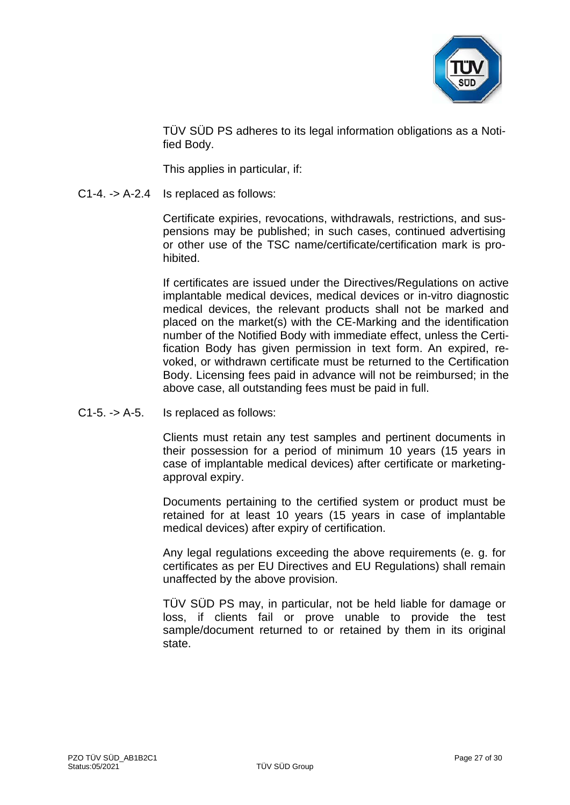

TÜV SÜD PS adheres to its legal information obligations as a Notified Body.

This applies in particular, if:

C1-4. -> A-2.4 Is replaced as follows:

Certificate expiries, revocations, withdrawals, restrictions, and suspensions may be published; in such cases, continued advertising or other use of the TSC name/certificate/certification mark is prohibited.

If certificates are issued under the Directives/Regulations on active implantable medical devices, medical devices or in-vitro diagnostic medical devices, the relevant products shall not be marked and placed on the market(s) with the CE-Marking and the identification number of the Notified Body with immediate effect, unless the Certification Body has given permission in text form. An expired, revoked, or withdrawn certificate must be returned to the Certification Body. Licensing fees paid in advance will not be reimbursed; in the above case, all outstanding fees must be paid in full.

C1-5. -> A-5. Is replaced as follows:

Clients must retain any test samples and pertinent documents in their possession for a period of minimum 10 years (15 years in case of implantable medical devices) after certificate or marketingapproval expiry.

Documents pertaining to the certified system or product must be retained for at least 10 years (15 years in case of implantable medical devices) after expiry of certification.

Any legal regulations exceeding the above requirements (e. g. for certificates as per EU Directives and EU Regulations) shall remain unaffected by the above provision.

TÜV SÜD PS may, in particular, not be held liable for damage or loss, if clients fail or prove unable to provide the test sample/document returned to or retained by them in its original state.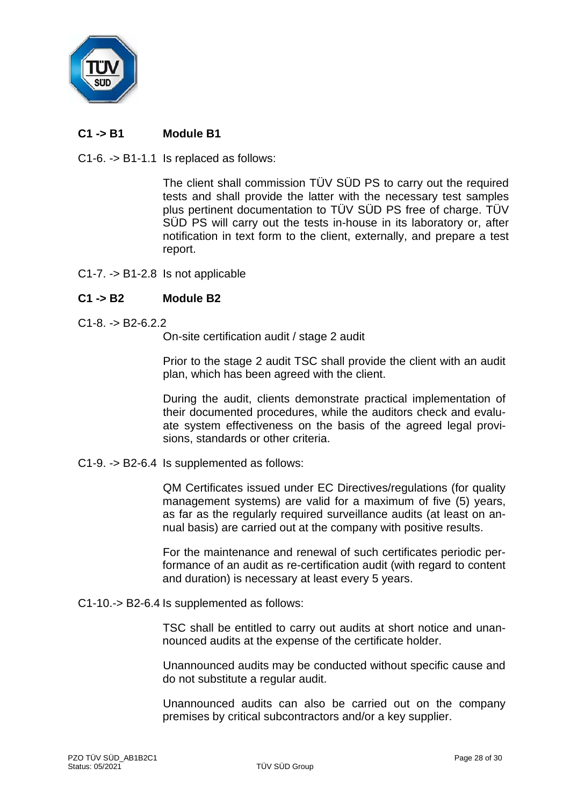

# **C1 -> B1 Module B1**

C1-6. -> B1-1.1 Is replaced as follows:

The client shall commission TÜV SÜD PS to carry out the required tests and shall provide the latter with the necessary test samples plus pertinent documentation to TÜV SÜD PS free of charge. TÜV SÜD PS will carry out the tests in-house in its laboratory or, after notification in text form to the client, externally, and prepare a test report.

C1-7. -> B1-2.8 Is not applicable

# **C1 -> B2 Module B2**

 $C1-8$  -> B2-6.2.2.

On-site certification audit / stage 2 audit

Prior to the stage 2 audit TSC shall provide the client with an audit plan, which has been agreed with the client.

During the audit, clients demonstrate practical implementation of their documented procedures, while the auditors check and evaluate system effectiveness on the basis of the agreed legal provisions, standards or other criteria.

C1-9. -> B2-6.4 Is supplemented as follows:

QM Certificates issued under EC Directives/regulations (for quality management systems) are valid for a maximum of five (5) years, as far as the regularly required surveillance audits (at least on annual basis) are carried out at the company with positive results.

For the maintenance and renewal of such certificates periodic performance of an audit as re-certification audit (with regard to content and duration) is necessary at least every 5 years.

C1-10.-> B2-6.4 Is supplemented as follows:

TSC shall be entitled to carry out audits at short notice and unannounced audits at the expense of the certificate holder.

Unannounced audits may be conducted without specific cause and do not substitute a regular audit.

Unannounced audits can also be carried out on the company premises by critical subcontractors and/or a key supplier.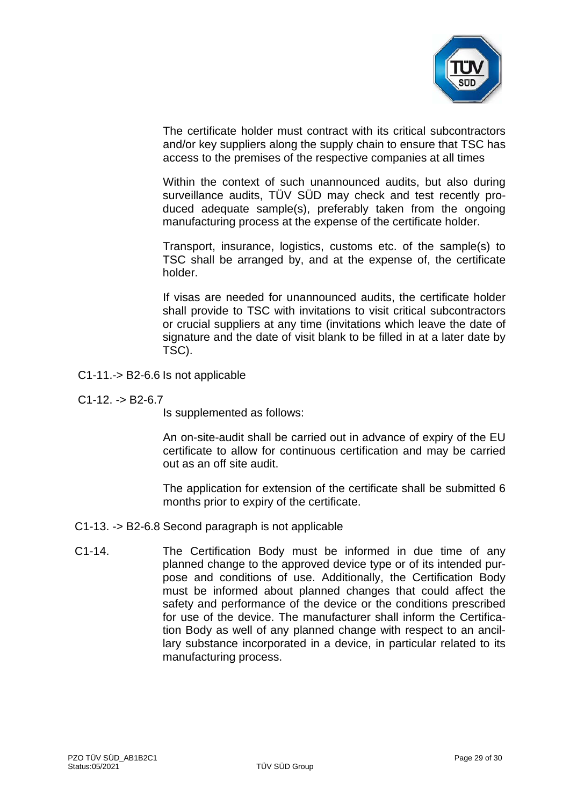

The certificate holder must contract with its critical subcontractors and/or key suppliers along the supply chain to ensure that TSC has access to the premises of the respective companies at all times

Within the context of such unannounced audits, but also during surveillance audits, TÜV SÜD may check and test recently produced adequate sample(s), preferably taken from the ongoing manufacturing process at the expense of the certificate holder.

Transport, insurance, logistics, customs etc. of the sample(s) to TSC shall be arranged by, and at the expense of, the certificate holder.

If visas are needed for unannounced audits, the certificate holder shall provide to TSC with invitations to visit critical subcontractors or crucial suppliers at any time (invitations which leave the date of signature and the date of visit blank to be filled in at a later date by TSC).

- C1-11.-> B2-6.6 Is not applicable
- $C1-12. -> B2-6.7$

Is supplemented as follows:

An on-site-audit shall be carried out in advance of expiry of the EU certificate to allow for continuous certification and may be carried out as an off site audit.

The application for extension of the certificate shall be submitted 6 months prior to expiry of the certificate.

- C1-13. -> B2-6.8 Second paragraph is not applicable
- C1-14. The Certification Body must be informed in due time of any planned change to the approved device type or of its intended purpose and conditions of use. Additionally, the Certification Body must be informed about planned changes that could affect the safety and performance of the device or the conditions prescribed for use of the device. The manufacturer shall inform the Certification Body as well of any planned change with respect to an ancillary substance incorporated in a device, in particular related to its manufacturing process.